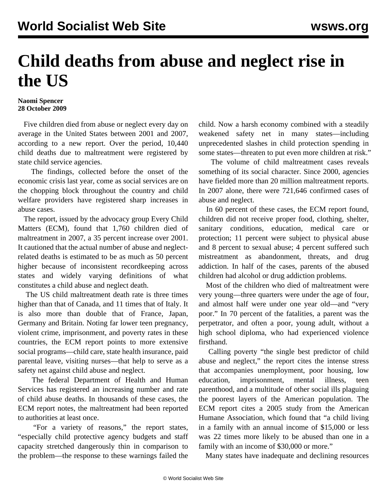## **Child deaths from abuse and neglect rise in the US**

## **Naomi Spencer 28 October 2009**

 Five children died from abuse or neglect every day on average in the United States between 2001 and 2007, according to a new report. Over the period, 10,440 child deaths due to maltreatment were registered by state child service agencies.

 The findings, collected before the onset of the economic crisis last year, come as social services are on the chopping block throughout the country and child welfare providers have registered sharp increases in abuse cases.

 The report, issued by the advocacy group Every Child Matters (ECM), found that 1,760 children died of maltreatment in 2007, a 35 percent increase over 2001. It cautioned that the actual number of abuse and neglectrelated deaths is estimated to be as much as 50 percent higher because of inconsistent recordkeeping across states and widely varying definitions of what constitutes a child abuse and neglect death.

 The US child maltreatment death rate is three times higher than that of Canada, and 11 times that of Italy. It is also more than double that of France, Japan, Germany and Britain. Noting far lower teen pregnancy, violent crime, imprisonment, and poverty rates in these countries, the ECM report points to more extensive social programs—child care, state health insurance, paid parental leave, visiting nurses—that help to serve as a safety net against child abuse and neglect.

 The federal Department of Health and Human Services has registered an increasing number and rate of child abuse deaths. In thousands of these cases, the ECM report notes, the maltreatment had been reported to authorities at least once.

 "For a variety of reasons," the report states, "especially child protective agency budgets and staff capacity stretched dangerously thin in comparison to the problem—the response to these warnings failed the child. Now a harsh economy combined with a steadily weakened safety net in many states—including unprecedented slashes in child protection spending in some states—threaten to put even more children at risk."

 The volume of child maltreatment cases reveals something of its social character. Since 2000, agencies have fielded more than 20 million maltreatment reports. In 2007 alone, there were 721,646 confirmed cases of abuse and neglect.

 In 60 percent of these cases, the ECM report found, children did not receive proper food, clothing, shelter, sanitary conditions, education, medical care or protection; 11 percent were subject to physical abuse and 8 percent to sexual abuse; 4 percent suffered such mistreatment as abandonment, threats, and drug addiction. In half of the cases, parents of the abused children had alcohol or drug addiction problems.

 Most of the children who died of maltreatment were very young—three quarters were under the age of four, and almost half were under one year old—and "very poor." In 70 percent of the fatalities, a parent was the perpetrator, and often a poor, young adult, without a high school diploma, who had experienced violence firsthand.

 Calling poverty "the single best predictor of child abuse and neglect," the report cites the intense stress that accompanies unemployment, poor housing, low education, imprisonment, mental illness, teen parenthood, and a multitude of other social ills plaguing the poorest layers of the American population. The ECM report cites a 2005 study from the American Humane Association, which found that "a child living in a family with an annual income of \$15,000 or less was 22 times more likely to be abused than one in a family with an income of \$30,000 or more."

Many states have inadequate and declining resources